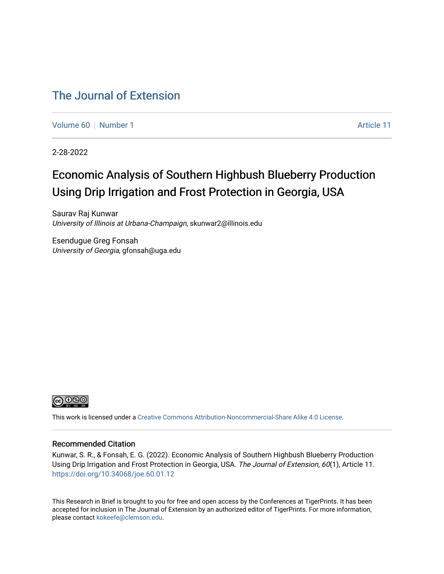# [The Journal of Extension](https://tigerprints.clemson.edu/joe)

[Volume 60](https://tigerprints.clemson.edu/joe/vol60) [Number 1](https://tigerprints.clemson.edu/joe/vol60/iss1) [Article 11](https://tigerprints.clemson.edu/joe/vol60/iss1/11) Article 11

2-28-2022

# Economic Analysis of Southern Highbush Blueberry Production Using Drip Irrigation and Frost Protection in Georgia, USA

Saurav Raj Kunwar University of Illinois at Urbana-Champaign, skunwar2@illinois.edu

Esendugue Greg Fonsah University of Georgia, gfonsah@uga.edu



This work is licensed under a [Creative Commons Attribution-Noncommercial-Share Alike 4.0 License.](https://creativecommons.org/licenses/by-nc-sa/4.0/)

#### Recommended Citation

Kunwar, S. R., & Fonsah, E. G. (2022). Economic Analysis of Southern Highbush Blueberry Production Using Drip Irrigation and Frost Protection in Georgia, USA. The Journal of Extension, 60(1), Article 11. <https://doi.org/10.34068/joe.60.01.12>

This Research in Brief is brought to you for free and open access by the Conferences at TigerPrints. It has been accepted for inclusion in The Journal of Extension by an authorized editor of TigerPrints. For more information, please contact [kokeefe@clemson.edu](mailto:kokeefe@clemson.edu).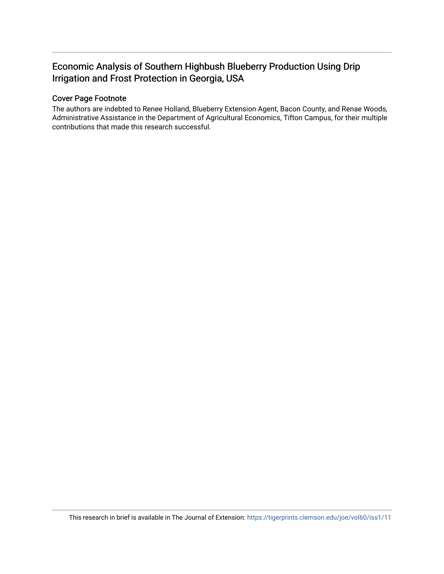# Economic Analysis of Southern Highbush Blueberry Production Using Drip Irrigation and Frost Protection in Georgia, USA

## Cover Page Footnote

The authors are indebted to Renee Holland, Blueberry Extension Agent, Bacon County, and Renae Woods, Administrative Assistance in the Department of Agricultural Economics, Tifton Campus, for their multiple contributions that made this research successful.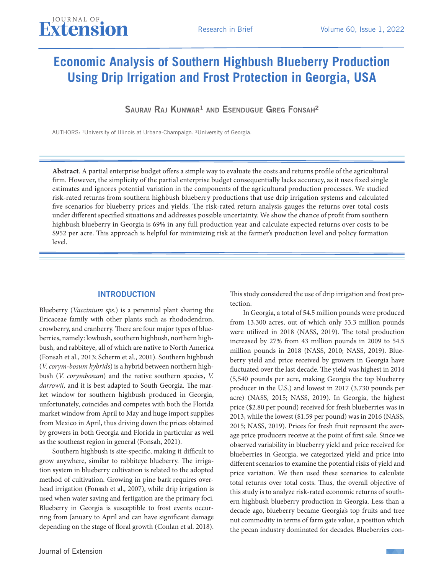# **Economic Analysis of Southern Highbush Blueberry Production Using Drip Irrigation and Frost Protection in Georgia, USA**

SAURAV RAJ KUNWAR<sup>1</sup> AND ESENDUGUE GREG FONSAH<sup>2</sup>

AUTHORS: 1University of Illinois at Urbana-Champaign. ²University of Georgia.

**Abstract**. A partial enterprise budget offers a simple way to evaluate the costs and returns profile of the agricultural firm. However, the simplicity of the partial enterprise budget consequentially lacks accuracy, as it uses fixed single estimates and ignores potential variation in the components of the agricultural production processes. We studied risk-rated returns from southern highbush blueberry productions that use drip irrigation systems and calculated five scenarios for blueberry prices and yields. The risk-rated return analysis gauges the returns over total costs under different specified situations and addresses possible uncertainty. We show the chance of profit from southern highbush blueberry in Georgia is 69% in any full production year and calculate expected returns over costs to be \$952 per acre. This approach is helpful for minimizing risk at the farmer's production level and policy formation level.

#### **INTRODUCTION**

Blueberry (*Vaccinium sps*.) is a perennial plant sharing the Ericaceae family with other plants such as rhododendron, crowberry, and cranberry. There are four major types of blueberries, namely: lowbush, southern highbush, northern highbush, and rabbiteye, all of which are native to North America (Fonsah et al., 2013; Scherm et al., 2001). Southern highbush (*V. corym-bosum hybrids*) is a hybrid between northern highbush (*V. corymbosum*) and the native southern species, *V. darrowii,* and it is best adapted to South Georgia. The market window for southern highbush produced in Georgia, unfortunately, coincides and competes with both the Florida market window from April to May and huge import supplies from Mexico in April, thus driving down the prices obtained by growers in both Georgia and Florida in particular as well as the southeast region in general (Fonsah, 2021).

Southern highbush is site-specific, making it difficult to grow anywhere, similar to rabbiteye blueberry. The irrigation system in blueberry cultivation is related to the adopted method of cultivation. Growing in pine bark requires overhead irrigation (Fonsah et al., 2007), while drip irrigation is used when water saving and fertigation are the primary foci. Blueberry in Georgia is susceptible to frost events occurring from January to April and can have significant damage depending on the stage of floral growth (Conlan et al. 2018).

This study considered the use of drip irrigation and frost protection.

In Georgia, a total of 54.5 million pounds were produced from 13,300 acres, out of which only 53.3 million pounds were utilized in 2018 (NASS, 2019). The total production increased by 27% from 43 million pounds in 2009 to 54.5 million pounds in 2018 (NASS, 2010; NASS, 2019). Blueberry yield and price received by growers in Georgia have fluctuated over the last decade. The yield was highest in 2014 (5,540 pounds per acre, making Georgia the top blueberry producer in the U.S.) and lowest in 2017 (3,730 pounds per acre) (NASS, 2015; NASS, 2019). In Georgia, the highest price (\$2.80 per pound) received for fresh blueberries was in 2013, while the lowest (\$1.59 per pound) was in 2016 (NASS, 2015; NASS, 2019). Prices for fresh fruit represent the average price producers receive at the point of first sale. Since we observed variability in blueberry yield and price received for blueberries in Georgia, we categorized yield and price into different scenarios to examine the potential risks of yield and price variation. We then used these scenarios to calculate total returns over total costs. Thus, the overall objective of this study is to analyze risk-rated economic returns of southern highbush blueberry production in Georgia. Less than a decade ago, blueberry became Georgia's top fruits and tree nut commodity in terms of farm gate value, a position which the pecan industry dominated for decades. Blueberries con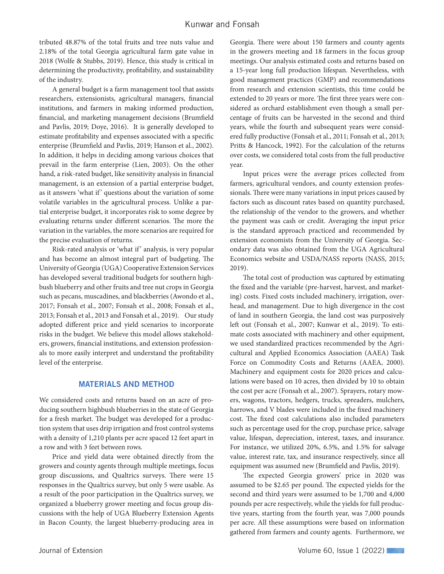tributed 48.87% of the total fruits and tree nuts value and 2.18% of the total Georgia agricultural farm gate value in 2018 (Wolfe & Stubbs, 2019). Hence, this study is critical in determining the productivity, profitability, and sustainability of the industry.

A general budget is a farm management tool that assists researchers, extensionists, agricultural managers, financial institutions, and farmers in making informed production, financial, and marketing management decisions (Brumfield and Pavlis, 2019; Doye, 2016). It is generally developed to estimate profitability and expenses associated with a specific enterprise (Brumfield and Pavlis, 2019; Hanson et al., 2002). In addition, it helps in deciding among various choices that prevail in the farm enterprise (Lien, 2003). On the other hand, a risk-rated budget, like sensitivity analysis in financial management, is an extension of a partial enterprise budget, as it answers 'what if' questions about the variation of some volatile variables in the agricultural process. Unlike a partial enterprise budget, it incorporates risk to some degree by evaluating returns under different scenarios. The more the variation in the variables, the more scenarios are required for the precise evaluation of returns.

Risk-rated analysis or 'what if' analysis, is very popular and has become an almost integral part of budgeting. The University of Georgia (UGA) Cooperative Extension Services has developed several traditional budgets for southern highbush blueberry and other fruits and tree nut crops in Georgia such as pecans, muscadines, and blackberries (Awondo et al., 2017; Fonsah et al., 2007; Fonsah et al., 2008; Fonsah et al., 2013; Fonsah et al., 2013 and Fonsah et al., 2019). Our study adopted different price and yield scenarios to incorporate risks in the budget. We believe this model allows stakeholders, growers, financial institutions, and extension professionals to more easily interpret and understand the profitability level of the enterprise.

#### MATERIALS AND METHOD

We considered costs and returns based on an acre of producing southern highbush blueberries in the state of Georgia for a fresh market. The budget was developed for a production system that uses drip irrigation and frost control systems with a density of 1,210 plants per acre spaced 12 feet apart in a row and with 3 feet between rows.

Price and yield data were obtained directly from the growers and county agents through multiple meetings, focus group discussions, and Qualtrics surveys. There were 15 responses in the Qualtrics survey, but only 5 were usable. As a result of the poor participation in the Qualtrics survey, we organized a blueberry grower meeting and focus group discussions with the help of UGA Blueberry Extension Agents in Bacon County, the largest blueberry-producing area in

Georgia. There were about 150 farmers and county agents in the growers meeting and 18 farmers in the focus group meetings. Our analysis estimated costs and returns based on a 15-year long full production lifespan. Nevertheless, with good management practices (GMP) and recommendations from research and extension scientists, this time could be extended to 20 years or more. The first three years were considered as orchard establishment even though a small percentage of fruits can be harvested in the second and third years, while the fourth and subsequent years were considered fully productive (Fonsah et al., 2011; Fonsah et al., 2013; Pritts & Hancock, 1992). For the calculation of the returns over costs, we considered total costs from the full productive year.

Input prices were the average prices collected from farmers, agricultural vendors, and county extension professionals. There were many variations in input prices caused by factors such as discount rates based on quantity purchased, the relationship of the vendor to the growers, and whether the payment was cash or credit. Averaging the input price is the standard approach practiced and recommended by extension economists from the University of Georgia. Secondary data was also obtained from the UGA Agricultural Economics website and USDA/NASS reports (NASS, 2015; 2019).

The total cost of production was captured by estimating the fixed and the variable (pre-harvest, harvest, and marketing) costs. Fixed costs included machinery, irrigation, overhead, and management. Due to high divergence in the cost of land in southern Georgia, the land cost was purposively left out (Fonsah et al., 2007; Kunwar et al., 2019). To estimate costs associated with machinery and other equipment, we used standardized practices recommended by the Agricultural and Applied Economics Association (AAEA) Task Force on Commodity Costs and Returns (AAEA, 2000). Machinery and equipment costs for 2020 prices and calculations were based on 10 acres, then divided by 10 to obtain the cost per acre (Fonsah et al., 2007). Sprayers, rotary mowers, wagons, tractors, hedgers, trucks, spreaders, mulchers, harrows, and V blades were included in the fixed machinery cost. The fixed cost calculations also included parameters such as percentage used for the crop, purchase price, salvage value, lifespan, depreciation, interest, taxes, and insurance. For instance, we utilized 20%, 6.5%, and 1.5% for salvage value, interest rate, tax, and insurance respectively, since all equipment was assumed new (Brumfield and Pavlis, 2019).

The expected Georgia growers' price in 2020 was assumed to be \$2.65 per pound. The expected yields for the second and third years were assumed to be 1,700 and 4,000 pounds per acre respectively, while the yields for full productive years, starting from the fourth year, was 7,000 pounds per acre. All these assumptions were based on information gathered from farmers and county agents. Furthermore, we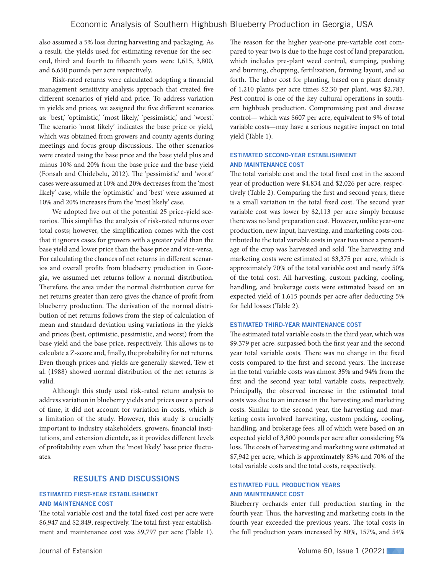also assumed a 5% loss during harvesting and packaging. As a result, the yields used for estimating revenue for the second, third and fourth to fifteenth years were 1,615, 3,800, and 6,650 pounds per acre respectively.

Risk-rated returns were calculated adopting a financial management sensitivity analysis approach that created five different scenarios of yield and price. To address variation in yields and prices, we assigned the five different scenarios as: 'best,' 'optimistic,' 'most likely,' 'pessimistic,' and 'worst.' The scenario 'most likely' indicates the base price or yield, which was obtained from growers and county agents during meetings and focus group discussions. The other scenarios were created using the base price and the base yield plus and minus 10% and 20% from the base price and the base yield (Fonsah and Chidebelu, 2012). The 'pessimistic' and 'worst' cases were assumed at 10% and 20% decreases from the 'most likely' case, while the 'optimistic' and 'best' were assumed at 10% and 20% increases from the 'most likely' case.

We adopted five out of the potential 25 price-yield scenarios. This simplifies the analysis of risk-rated returns over total costs; however, the simplification comes with the cost that it ignores cases for growers with a greater yield than the base yield and lower price than the base price and vice-versa. For calculating the chances of net returns in different scenarios and overall profits from blueberry production in Georgia, we assumed net returns follow a normal distribution. Therefore, the area under the normal distribution curve for net returns greater than zero gives the chance of profit from blueberry production. The derivation of the normal distribution of net returns follows from the step of calculation of mean and standard deviation using variations in the yields and prices (best, optimistic, pessimistic, and worst) from the base yield and the base price, respectively. This allows us to calculate a Z-score and, finally, the probability for net returns. Even though prices and yields are generally skewed, Tew et al. (1988) showed normal distribution of the net returns is valid.

Although this study used risk-rated return analysis to address variation in blueberry yields and prices over a period of time, it did not account for variation in costs, which is a limitation of the study. However, this study is crucially important to industry stakeholders, growers, financial institutions, and extension clientele, as it provides different levels of profitability even when the 'most likely' base price fluctuates.

#### RESULTS AND DISCUSSIONS

#### ESTIMATED FIRST-YEAR ESTABLISHMENT AND MAINTENANCE COST

The total variable cost and the total fixed cost per acre were \$6,947 and \$2,849, respectively. The total first-year establishment and maintenance cost was \$9,797 per acre (Table 1).

The reason for the higher year-one pre-variable cost compared to year two is due to the huge cost of land preparation, which includes pre-plant weed control, stumping, pushing and burning, chopping, fertilization, farming layout, and so forth. The labor cost for planting, based on a plant density of 1,210 plants per acre times \$2.30 per plant, was \$2,783. Pest control is one of the key cultural operations in southern highbush production. Compromising pest and disease control— which was \$607 per acre, equivalent to 9% of total variable costs—may have a serious negative impact on total yield (Table 1).

#### ESTIMATED SECOND-YEAR ESTABLISHMENT AND MAINTENANCE COST

The total variable cost and the total fixed cost in the second year of production were \$4,834 and \$2,026 per acre, respectively (Table 2). Comparing the first and second years, there is a small variation in the total fixed cost. The second year variable cost was lower by \$2,113 per acre simply because there was no land preparation cost. However, unlike year-one production, new input, harvesting, and marketing costs contributed to the total variable costs in year two since a percentage of the crop was harvested and sold. The harvesting and marketing costs were estimated at \$3,375 per acre, which is approximately 70% of the total variable cost and nearly 50% of the total cost. All harvesting, custom packing, cooling, handling, and brokerage costs were estimated based on an expected yield of 1,615 pounds per acre after deducting 5% for field losses (Table 2).

#### ESTIMATED THIRD-YEAR MAINTENANCE COST

The estimated total variable costs in the third year, which was \$9,379 per acre, surpassed both the first year and the second year total variable costs. There was no change in the fixed costs compared to the first and second years. The increase in the total variable costs was almost 35% and 94% from the first and the second year total variable costs, respectively. Principally, the observed increase in the estimated total costs was due to an increase in the harvesting and marketing costs. Similar to the second year, the harvesting and marketing costs involved harvesting, custom packing, cooling, handling, and brokerage fees, all of which were based on an expected yield of 3,800 pounds per acre after considering 5% loss. The costs of harvesting and marketing were estimated at \$7,942 per acre, which is approximately 85% and 70% of the total variable costs and the total costs, respectively.

#### ESTIMATED FULL PRODUCTION YEARS AND MAINTENANCE COST

Blueberry orchards enter full production starting in the fourth year. Thus, the harvesting and marketing costs in the fourth year exceeded the previous years. The total costs in the full production years increased by 80%, 157%, and 54%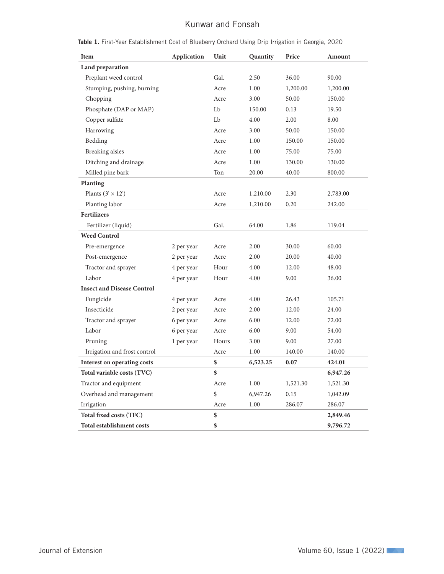## Kunwar and Fonsah

| Item                              | Application | Unit  | Quantity | Price    | Amount   |
|-----------------------------------|-------------|-------|----------|----------|----------|
| Land preparation                  |             |       |          |          |          |
| Preplant weed control             |             | Gal.  | 2.50     | 36.00    | 90.00    |
| Stumping, pushing, burning        |             | Acre  | 1.00     | 1,200.00 | 1,200.00 |
| Chopping                          |             | Acre  | 3.00     | 50.00    | 150.00   |
| Phosphate (DAP or MAP)            |             | Lb    | 150.00   | 0.13     | 19.50    |
| Copper sulfate                    |             | Lb    | 4.00     | 2.00     | 8.00     |
| Harrowing                         |             | Acre  | 3.00     | 50.00    | 150.00   |
| Bedding                           |             | Acre  | 1.00     | 150.00   | 150.00   |
| <b>Breaking</b> aisles            |             | Acre  | 1.00     | 75.00    | 75.00    |
| Ditching and drainage             |             | Acre  | 1.00     | 130.00   | 130.00   |
| Milled pine bark                  |             | Ton   | 20.00    | 40.00    | 800.00   |
| Planting                          |             |       |          |          |          |
| Plants $(3' \times 12')$          |             | Acre  | 1,210.00 | 2.30     | 2,783.00 |
| Planting labor                    |             | Acre  | 1,210.00 | 0.20     | 242.00   |
| <b>Fertilizers</b>                |             |       |          |          |          |
| Fertilizer (liquid)               |             | Gal.  | 64.00    | 1.86     | 119.04   |
| <b>Weed Control</b>               |             |       |          |          |          |
| Pre-emergence                     | 2 per year  | Acre  | 2.00     | 30.00    | 60.00    |
| Post-emergence                    | 2 per year  | Acre  | 2.00     | 20.00    | 40.00    |
| Tractor and sprayer               | 4 per year  | Hour  | 4.00     | 12.00    | 48.00    |
| Labor                             | 4 per year  | Hour  | 4.00     | 9.00     | 36.00    |
| <b>Insect and Disease Control</b> |             |       |          |          |          |
| Fungicide                         | 4 per year  | Acre  | 4.00     | 26.43    | 105.71   |
| Insecticide                       | 2 per year  | Acre  | 2.00     | 12.00    | 24.00    |
| Tractor and sprayer               | 6 per year  | Acre  | 6.00     | 12.00    | 72.00    |
| Labor                             | 6 per year  | Acre  | 6.00     | 9.00     | 54.00    |
| Pruning                           | 1 per year  | Hours | 3.00     | 9.00     | 27.00    |
| Irrigation and frost control      |             | Acre  | 1.00     | 140.00   | 140.00   |
| Interest on operating costs       |             | \$    | 6,523.25 | 0.07     | 424.01   |
| Total variable costs (TVC)        |             | \$    |          |          | 6,947.26 |
| Tractor and equipment             |             | Acre  | 1.00     | 1,521.30 | 1,521.30 |
| Overhead and management           |             | \$    | 6,947.26 | 0.15     | 1,042.09 |
| Irrigation                        |             | Acre  | 1.00     | 286.07   | 286.07   |
| Total fixed costs (TFC)           |             | \$    |          |          | 2,849.46 |
| Total establishment costs         |             | \$    |          |          | 9,796.72 |

Table 1. First-Year Establishment Cost of Blueberry Orchard Using Drip Irrigation in Georgia, 2020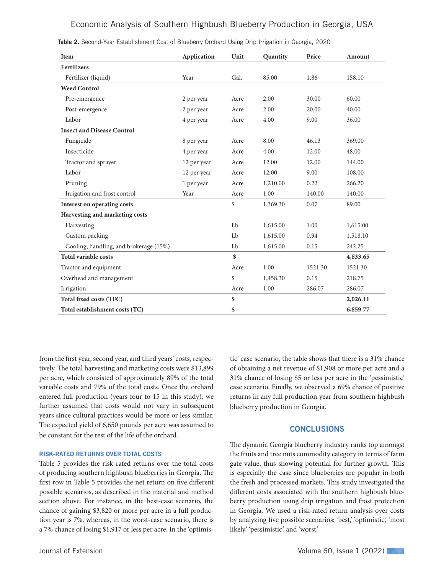## Economic Analysis of Southern Highbush Blueberry Production in Georgia, USA

| Item                                   | Application | Unit | Quantity | Price   | Amount   |
|----------------------------------------|-------------|------|----------|---------|----------|
| <b>Fertilizers</b>                     |             |      |          |         |          |
| Fertilizer (liquid)                    | Year        | Gal. | 85.00    | 1.86    | 158.10   |
| <b>Weed Control</b>                    |             |      |          |         |          |
| Pre-emergence                          | 2 per year  | Acre | 2.00     | 30.00   | 60.00    |
| Post-emergence                         | 2 per year  | Acre | 2.00     | 20.00   | 40.00    |
| Labor                                  | 4 per year  | Acre | 4.00     | 9.00    | 36.00    |
| <b>Insect and Disease Control</b>      |             |      |          |         |          |
| Fungicide                              | 8 per year  | Acre | 8.00     | 46.13   | 369.00   |
| Insecticide                            | 4 per year  | Acre | 4.00     | 12.00   | 48.00    |
| Tractor and sprayer                    | 12 per year | Acre | 12.00    | 12.00   | 144.00   |
| Labor                                  | 12 per year | Acre | 12.00    | 9.00    | 108.00   |
| Pruning                                | 1 per year  | Acre | 1,210.00 | 0.22    | 266.20   |
| Irrigation and frost control           | Year        | Acre | 1.00     | 140.00  | 140.00   |
| Interest on operating costs            |             | \$   | 1,369.30 | 0.07    | 89.00    |
| Harvesting and marketing costs         |             |      |          |         |          |
| Harvesting                             |             | Lb   | 1,615.00 | 1.00    | 1,615.00 |
| Custom packing                         |             | Lb   | 1,615.00 | 0.94    | 1,518.10 |
| Cooling, handling, and brokerage (15%) |             | Lb   | 1,615.00 | 0.15    | 242.25   |
| <b>Total variable costs</b>            |             | \$   |          |         | 4,833.65 |
| Tractor and equipment                  |             | Acre | 1.00     | 1521.30 | 1521.30  |
| Overhead and management                |             | \$   | 1,458.30 | 0.15    | 218.75   |
| Irrigation                             |             | Acre | 1.00     | 286.07  | 286.07   |
| Total fixed costs (TFC)                |             | \$   |          |         | 2,026.11 |
| Total establishment costs (TC)         |             | \$   |          |         | 6,859.77 |

Table 2. Second-Year Establishment Cost of Blueberry Orchard Using Drip Irrigation in Georgia, 2020

from the first year, second year, and third years' costs, respectively. The total harvesting and marketing costs were \$13,899 per acre, which consisted of approximately 89% of the total variable costs and 79% of the total costs. Once the orchard entered full production (years four to 15 in this study), we further assumed that costs would not vary in subsequent years since cultural practices would be more or less similar. The expected yield of 6,650 pounds per acre was assumed to be constant for the rest of the life of the orchard.

#### RISK-RATED RETURNS OVER TOTAL COSTS

Table 5 provides the risk-rated returns over the total costs of producing southern highbush blueberries in Georgia. The first row in Table 5 provides the net return on five different possible scenarios, as described in the material and method section above. For instance, in the best-case scenario, the chance of gaining \$3,820 or more per acre in a full production year is 7%, whereas, in the worst-case scenario, there is a 7% chance of losing \$1,917 or less per acre. In the 'optimis-

tic' case scenario, the table shows that there is a 31% chance of obtaining a net revenue of \$1,908 or more per acre and a 31% chance of losing \$5 or less per acre in the 'pessimistic' case scenario. Finally, we observed a 69% chance of positive returns in any full production year from southern highbush blueberry production in Georgia.

#### **CONCLUSIONS**

The dynamic Georgia blueberry industry ranks top amongst the fruits and tree nuts commodity category in terms of farm gate value, thus showing potential for further growth. This is especially the case since blueberries are popular in both the fresh and processed markets. This study investigated the different costs associated with the southern highbush blueberry production using drip irrigation and frost protection in Georgia. We used a risk-rated return analysis over costs by analyzing five possible scenarios: 'best,' 'optimistic,' 'most likely, 'pessimistic,' and 'worst.'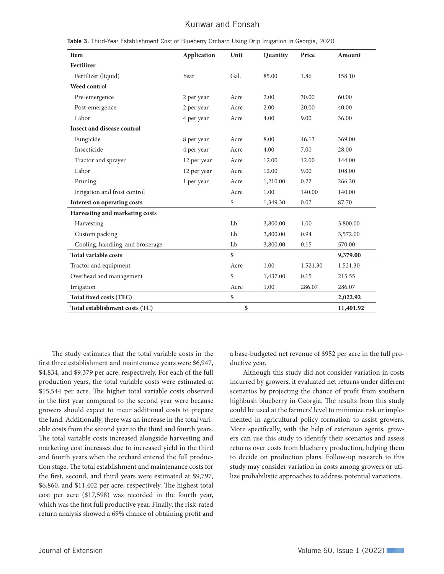## Kunwar and Fonsah

| Item                              | Application | Unit | Quantity | Price    | Amount    |
|-----------------------------------|-------------|------|----------|----------|-----------|
| Fertilizer                        |             |      |          |          |           |
| Fertilizer (liquid)               | Year        | Gal. | 85.00    | 1.86     | 158.10    |
| <b>Weed control</b>               |             |      |          |          |           |
| Pre-emergence                     | 2 per year  | Acre | 2.00     | 30.00    | 60.00     |
| Post-emergence                    | 2 per year  | Acre | 2.00     | 20.00    | 40.00     |
| Labor                             | 4 per year  | Acre | 4.00     | 9.00     | 36.00     |
| <b>Insect and disease control</b> |             |      |          |          |           |
| Fungicide                         | 8 per year  | Acre | 8.00     | 46.13    | 369.00    |
| Insecticide                       | 4 per year  | Acre | 4.00     | 7.00     | 28.00     |
| Tractor and sprayer               | 12 per year | Acre | 12.00    | 12.00    | 144.00    |
| Labor                             | 12 per year | Acre | 12.00    | 9.00     | 108.00    |
| Pruning                           | 1 per year  | Acre | 1,210.00 | 0.22     | 266.20    |
| Irrigation and frost control      |             | Acre | 1.00     | 140.00   | 140.00    |
| Interest on operating costs       |             | \$   | 1,349.30 | 0.07     | 87.70     |
| Harvesting and marketing costs    |             |      |          |          |           |
| Harvesting                        |             | Lb   | 3,800.00 | 1.00     | 3,800.00  |
| Custom packing                    |             | Lb   | 3,800.00 | 0.94     | 3,572.00  |
| Cooling, handling, and brokerage  |             | Lb   | 3,800.00 | 0.15     | 570.00    |
| <b>Total variable costs</b>       |             | \$   |          |          | 9,379.00  |
| Tractor and equipment             |             | Acre | 1.00     | 1,521.30 | 1,521.30  |
| Overhead and management           |             | \$   | 1,437.00 | 0.15     | 215.55    |
| Irrigation                        |             | Acre | 1.00     | 286.07   | 286.07    |
| <b>Total fixed costs (TFC)</b>    |             | \$   |          |          | 2,022.92  |
| Total establishment costs (TC)    |             | \$   |          |          | 11,401.92 |

Table 3. Third-Year Establishment Cost of Blueberry Orchard Using Drip Irrigation in Georgia, 2020

The study estimates that the total variable costs in the first three establishment and maintenance years were \$6,947, \$4,834, and \$9,379 per acre, respectively. For each of the full production years, the total variable costs were estimated at \$15,544 per acre. The higher total variable costs observed in the first year compared to the second year were because growers should expect to incur additional costs to prepare the land. Additionally, there was an increase in the total variable costs from the second year to the third and fourth years. The total variable costs increased alongside harvesting and marketing cost increases due to increased yield in the third and fourth years when the orchard entered the full production stage. The total establishment and maintenance costs for the first, second, and third years were estimated at \$9,797, \$6,860, and \$11,402 per acre, respectively. The highest total cost per acre (\$17,598) was recorded in the fourth year, which was the first full productive year. Finally, the risk-rated return analysis showed a 69% chance of obtaining profit and

a base-budgeted net revenue of \$952 per acre in the full productive year.

Although this study did not consider variation in costs incurred by growers, it evaluated net returns under different scenarios by projecting the chance of profit from southern highbush blueberry in Georgia. The results from this study could be used at the farmers' level to minimize risk or implemented in agricultural policy formation to assist growers. More specifically, with the help of extension agents, growers can use this study to identify their scenarios and assess returns over costs from blueberry production, helping them to decide on production plans. Follow-up research to this study may consider variation in costs among growers or utilize probabilistic approaches to address potential variations.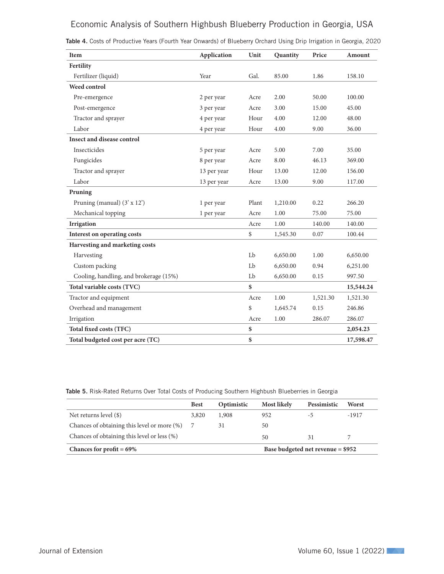## Economic Analysis of Southern Highbush Blueberry Production in Georgia, USA

| <b>Item</b>                            | <b>Application</b> | Unit  | Quantity | Price    | Amount    |
|----------------------------------------|--------------------|-------|----------|----------|-----------|
| Fertility                              |                    |       |          |          |           |
| Fertilizer (liquid)                    | Year               | Gal.  | 85.00    | 1.86     | 158.10    |
| Weed control                           |                    |       |          |          |           |
| Pre-emergence                          | 2 per year         | Acre  | 2.00     | 50.00    | 100.00    |
| Post-emergence                         | 3 per year         | Acre  | 3.00     | 15.00    | 45.00     |
| Tractor and sprayer                    | 4 per year         | Hour  | 4.00     | 12.00    | 48.00     |
| Labor                                  | 4 per year         | Hour  | 4.00     | 9.00     | 36.00     |
| Insect and disease control             |                    |       |          |          |           |
| Insecticides                           | 5 per year         | Acre  | 5.00     | 7.00     | 35.00     |
| Fungicides                             | 8 per year         | Acre  | 8.00     | 46.13    | 369.00    |
| Tractor and sprayer                    | 13 per year        | Hour  | 13.00    | 12.00    | 156.00    |
| Labor                                  | 13 per year        | Acre  | 13.00    | 9.00     | 117.00    |
| Pruning                                |                    |       |          |          |           |
| Pruning (manual) (3' x 12')            | 1 per year         | Plant | 1,210.00 | 0.22     | 266.20    |
| Mechanical topping                     | 1 per year         | Acre  | 1.00     | 75.00    | 75.00     |
| Irrigation                             |                    | Acre  | 1.00     | 140.00   | 140.00    |
| Interest on operating costs            |                    | \$    | 1,545.30 | 0.07     | 100.44    |
| Harvesting and marketing costs         |                    |       |          |          |           |
| Harvesting                             |                    | Lb    | 6,650.00 | 1.00     | 6,650.00  |
| Custom packing                         |                    | Lb    | 6,650.00 | 0.94     | 6,251.00  |
| Cooling, handling, and brokerage (15%) |                    | Lb    | 6,650.00 | 0.15     | 997.50    |
| Total variable costs (TVC)             |                    | \$    |          |          | 15,544.24 |
| Tractor and equipment                  |                    | Acre  | 1.00     | 1,521.30 | 1,521.30  |
| Overhead and management                |                    | \$    | 1,645.74 | 0.15     | 246.86    |
| Irrigation                             |                    | Acre  | 1.00     | 286.07   | 286.07    |
| Total fixed costs (TFC)                |                    | \$    |          |          | 2,054.23  |
| Total budgeted cost per acre (TC)      |                    | $\$$  |          |          | 17,598.47 |

| <b>Table 4.</b> Costs of Productive Years (Fourth Year Onwards) of Blueberry Orchard Using Drip Irrigation in Georgia, 2020 |  |  |  |  |  |  |  |  |  |  |  |  |  |  |
|-----------------------------------------------------------------------------------------------------------------------------|--|--|--|--|--|--|--|--|--|--|--|--|--|--|
|-----------------------------------------------------------------------------------------------------------------------------|--|--|--|--|--|--|--|--|--|--|--|--|--|--|

Table 5. Risk-Rated Returns Over Total Costs of Producing Southern Highbush Blueberries in Georgia

|                                                                  | <b>Best</b> | Optimistic | <b>Most likely</b> | Pessimistic | Worst |
|------------------------------------------------------------------|-------------|------------|--------------------|-------------|-------|
| Net returns level (\$)                                           | 3,820       | 1,908      | 952                | -5          | -1917 |
| Chances of obtaining this level or more (%)                      |             | 31         | 50                 |             |       |
| Chances of obtaining this level or less (%)                      |             |            | 50                 | 31          |       |
| Chances for profit $= 69\%$<br>Base budgeted net revenue = \$952 |             |            |                    |             |       |